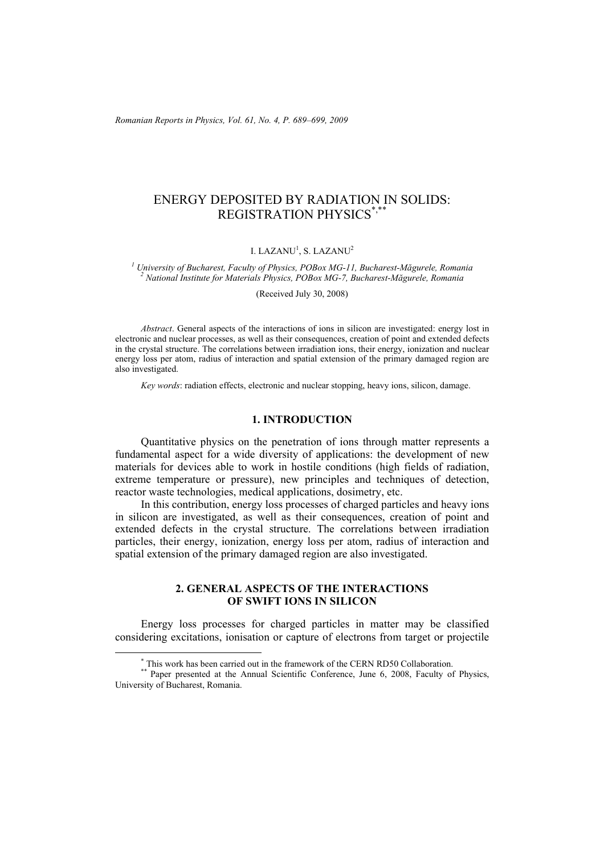*Romanian Reports in Physics, Vol. 61, No. 4, P. 689–699, 2009*

# ENERGY DEPOSITED BY RADIATION IN SOLIDS: REGISTRATION PHYSICS\*,\*\*

#### I. LAZAN $\rm U^1$ , S. LAZAN $\rm U^2$

<sup>1</sup> University of Bucharest, Faculty of Physics, POBox MG-11, Bucharest-Măgurele, Romania <sup>2</sup> National Institute for Materials Physics, POBox MG-11, Bucharest-Măgurele, Romania  *National Institute for Materials Physics, POBox MG-7, Bucharest-Măgurele, Romania* 

(Received July 30, 2008)

*Abstract*. General aspects of the interactions of ions in silicon are investigated: energy lost in electronic and nuclear processes, as well as their consequences, creation of point and extended defects in the crystal structure. The correlations between irradiation ions, their energy, ionization and nuclear energy loss per atom, radius of interaction and spatial extension of the primary damaged region are also investigated.

*Key words*: radiation effects, electronic and nuclear stopping, heavy ions, silicon, damage.

## **1. INTRODUCTION**

Quantitative physics on the penetration of ions through matter represents a fundamental aspect for a wide diversity of applications: the development of new materials for devices able to work in hostile conditions (high fields of radiation, extreme temperature or pressure), new principles and techniques of detection, reactor waste technologies, medical applications, dosimetry, etc.

In this contribution, energy loss processes of charged particles and heavy ions in silicon are investigated, as well as their consequences, creation of point and extended defects in the crystal structure. The correlations between irradiation particles, their energy, ionization, energy loss per atom, radius of interaction and spatial extension of the primary damaged region are also investigated.

# **2. GENERAL ASPECTS OF THE INTERACTIONS OF SWIFT IONS IN SILICON**

Energy loss processes for charged particles in matter may be classified considering excitations, ionisation or capture of electrons from target or projectile

 <sup>\*</sup>

<sup>\*</sup> This work has been carried out in the framework of the CERN RD50 Collaboration.<br>\*\* Paper presented at the Annual Scientific Conference, June 6, 2008, Faculty of Physics, University of Bucharest, Romania.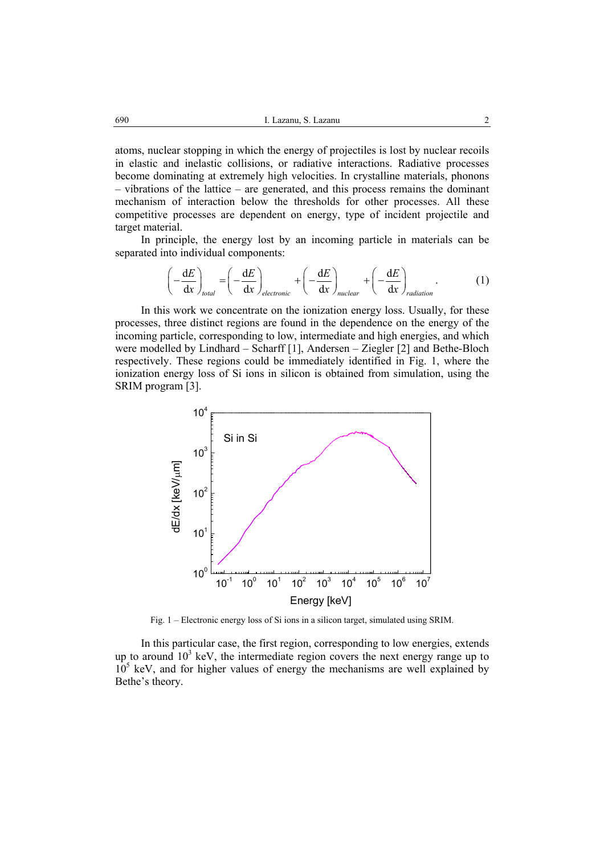atoms, nuclear stopping in which the energy of projectiles is lost by nuclear recoils in elastic and inelastic collisions, or radiative interactions. Radiative processes become dominating at extremely high velocities. In crystalline materials, phonons – vibrations of the lattice – are generated, and this process remains the dominant mechanism of interaction below the thresholds for other processes. All these competitive processes are dependent on energy, type of incident projectile and target material.

In principle, the energy lost by an incoming particle in materials can be separated into individual components:

$$
\left(-\frac{dE}{dx}\right)_{total} = \left(-\frac{dE}{dx}\right)_{electronic} + \left(-\frac{dE}{dx}\right)_{nuclear} + \left(-\frac{dE}{dx}\right)_{radiation}.
$$
 (1)

In this work we concentrate on the ionization energy loss. Usually, for these processes, three distinct regions are found in the dependence on the energy of the incoming particle, corresponding to low, intermediate and high energies, and which were modelled by Lindhard – Scharff [1], Andersen – Ziegler [2] and Bethe-Bloch respectively. These regions could be immediately identified in Fig. 1, where the ionization energy loss of Si ions in silicon is obtained from simulation, using the SRIM program [3].



Fig. 1 – Electronic energy loss of Si ions in a silicon target, simulated using SRIM.

In this particular case, the first region, corresponding to low energies, extends up to around  $10^3$  keV, the intermediate region covers the next energy range up to  $10<sup>5</sup>$  keV, and for higher values of energy the mechanisms are well explained by Bethe's theory.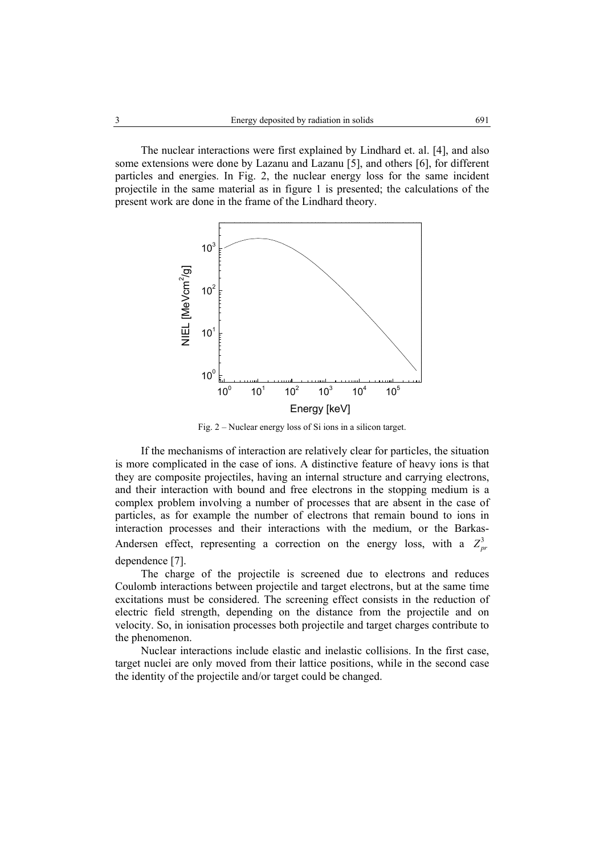The nuclear interactions were first explained by Lindhard et. al. [4], and also some extensions were done by Lazanu and Lazanu [5], and others [6], for different particles and energies. In Fig. 2, the nuclear energy loss for the same incident projectile in the same material as in figure 1 is presented; the calculations of the present work are done in the frame of the Lindhard theory.



Fig. 2 – Nuclear energy loss of Si ions in a silicon target.

If the mechanisms of interaction are relatively clear for particles, the situation is more complicated in the case of ions. A distinctive feature of heavy ions is that they are composite projectiles, having an internal structure and carrying electrons, and their interaction with bound and free electrons in the stopping medium is a complex problem involving a number of processes that are absent in the case of particles, as for example the number of electrons that remain bound to ions in interaction processes and their interactions with the medium, or the Barkas-Andersen effect, representing a correction on the energy loss, with a  $Z_{nr}^3$ dependence [7].

The charge of the projectile is screened due to electrons and reduces Coulomb interactions between projectile and target electrons, but at the same time excitations must be considered. The screening effect consists in the reduction of electric field strength, depending on the distance from the projectile and on velocity. So, in ionisation processes both projectile and target charges contribute to the phenomenon.

Nuclear interactions include elastic and inelastic collisions. In the first case, target nuclei are only moved from their lattice positions, while in the second case the identity of the projectile and/or target could be changed.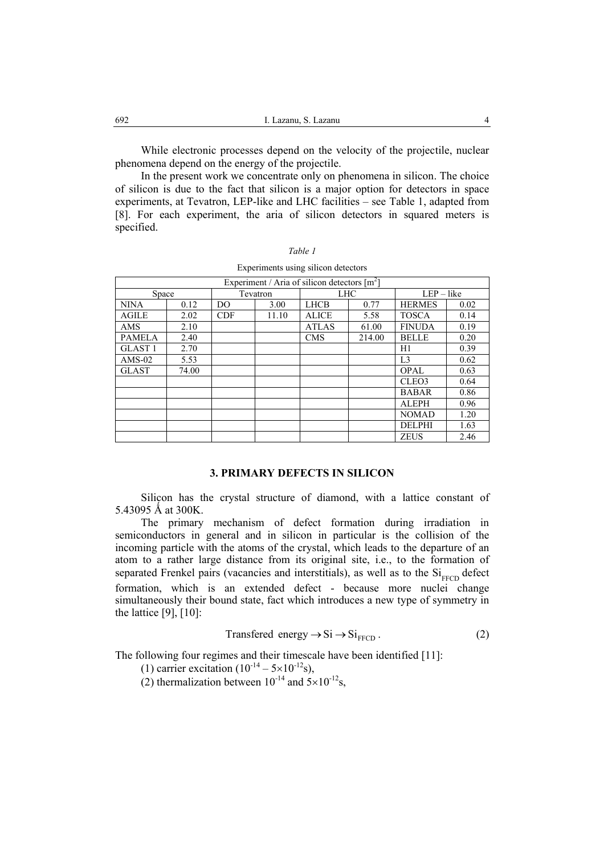While electronic processes depend on the velocity of the projectile, nuclear phenomena depend on the energy of the projectile.

In the present work we concentrate only on phenomena in silicon. The choice of silicon is due to the fact that silicon is a major option for detectors in space experiments, at Tevatron, LEP-like and LHC facilities – see Table 1, adapted from [8]. For each experiment, the aria of silicon detectors in squared meters is specified.

|--|--|--|--|

| Experiment / Aria of silicon detectors $[m^2]$ |       |            |       |              |        |                |      |  |  |
|------------------------------------------------|-------|------------|-------|--------------|--------|----------------|------|--|--|
| Space                                          |       | Tevatron   |       | LHC          |        | $LEP - like$   |      |  |  |
| <b>NINA</b>                                    | 0.12  | DO.        | 3.00  | <b>LHCB</b>  | 0.77   | <b>HERMES</b>  | 0.02 |  |  |
| <b>AGILE</b>                                   | 2.02  | <b>CDF</b> | 11.10 | <b>ALICE</b> | 5.58   | <b>TOSCA</b>   | 0.14 |  |  |
| AMS                                            | 2.10  |            |       | <b>ATLAS</b> | 61.00  | <b>FINUDA</b>  | 0.19 |  |  |
| <b>PAMELA</b>                                  | 2.40  |            |       | <b>CMS</b>   | 214.00 | <b>BELLE</b>   | 0.20 |  |  |
| <b>GLAST1</b>                                  | 2.70  |            |       |              |        | H1             | 0.39 |  |  |
| $AMS-02$                                       | 5.53  |            |       |              |        | L <sub>3</sub> | 0.62 |  |  |
| <b>GLAST</b>                                   | 74.00 |            |       |              |        | <b>OPAL</b>    | 0.63 |  |  |
|                                                |       |            |       |              |        | CLEO3          | 0.64 |  |  |
|                                                |       |            |       |              |        | <b>BABAR</b>   | 0.86 |  |  |
|                                                |       |            |       |              |        | <b>ALEPH</b>   | 0.96 |  |  |
|                                                |       |            |       |              |        | <b>NOMAD</b>   | 1.20 |  |  |
|                                                |       |            |       |              |        | <b>DELPHI</b>  | 1.63 |  |  |
|                                                |       |            |       |              |        | <b>ZEUS</b>    | 2.46 |  |  |

Experiments using silicon detectors

# **3. PRIMARY DEFECTS IN SILICON**

Silicon has the crystal structure of diamond, with a lattice constant of 5.43095 Å at 300K.

The primary mechanism of defect formation during irradiation in semiconductors in general and in silicon in particular is the collision of the incoming particle with the atoms of the crystal, which leads to the departure of an atom to a rather large distance from its original site, i.e., to the formation of separated Frenkel pairs (vacancies and interstitials), as well as to the  $Si<sub>FFCD</sub>$  defect formation, which is an extended defect - because more nuclei change simultaneously their bound state, fact which introduces a new type of symmetry in the lattice [9], [10]:

$$
Transfered energy \rightarrow Si \rightarrow Si_{FFCD}.
$$
 (2)

The following four regimes and their timescale have been identified [11]:

(1) carrier excitation  $(10^{-14} - 5 \times 10^{-12} s)$ ,

(2) thermalization between  $10^{-14}$  and  $5 \times 10^{-12}$ s,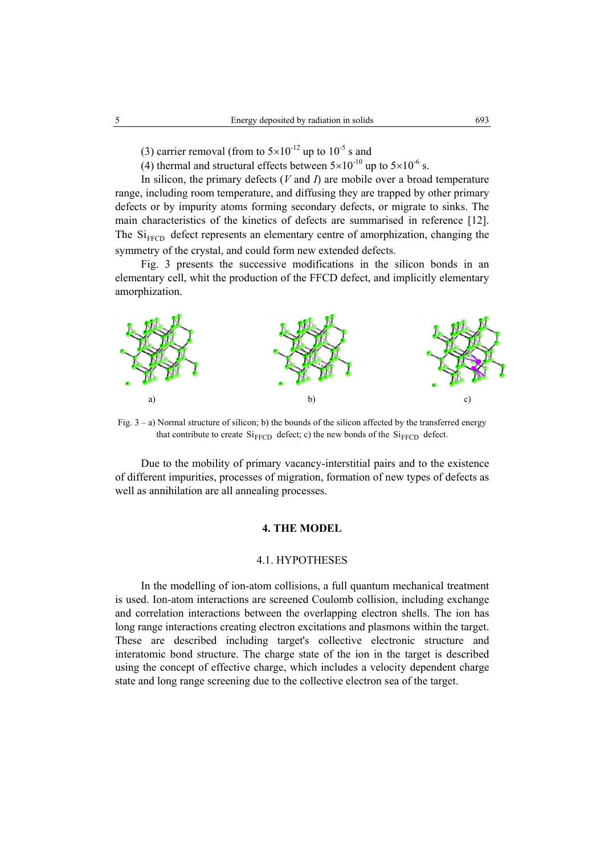- (3) carrier removal (from to  $5\times10^{-12}$  up to  $10^{-5}$  s and
- (4) thermal and structural effects between  $5 \times 10^{-10}$  up to  $5 \times 10^{-6}$  s.

In silicon, the primary defects (*V* and *I*) are mobile over a broad temperature range, including room temperature, and diffusing they are trapped by other primary defects or by impurity atoms forming secondary defects, or migrate to sinks. The main characteristics of the kinetics of defects are summarised in reference [12]. The  $\mathrm{Si}_{\mathrm{FFCD}}$  defect represents an elementary centre of amorphization, changing the symmetry of the crystal, and could form new extended defects.

Fig. 3 presents the successive modifications in the silicon bonds in an elementary cell, whit the production of the FFCD defect, and implicitly elementary amorphization.



Fig. 3 – a) Normal structure of silicon; b) the bounds of the silicon affected by the transferred energy that contribute to create  $\mathrm{Si}_{\text{FFCD}}$  defect; c) the new bonds of the  $\mathrm{Si}_{\text{FFCD}}$  defect.

Due to the mobility of primary vacancy-interstitial pairs and to the existence of different impurities, processes of migration, formation of new types of defects as well as annihilation are all annealing processes.

## **4. THE MODEL**

### 4.1. HYPOTHESES

In the modelling of ion-atom collisions, a full quantum mechanical treatment is used. Ion-atom interactions are screened Coulomb collision, including exchange and correlation interactions between the overlapping electron shells. The ion has long range interactions creating electron excitations and plasmons within the target. These are described including target's collective electronic structure and interatomic bond structure. The charge state of the ion in the target is described using the concept of effective charge, which includes a velocity dependent charge state and long range screening due to the collective electron sea of the target.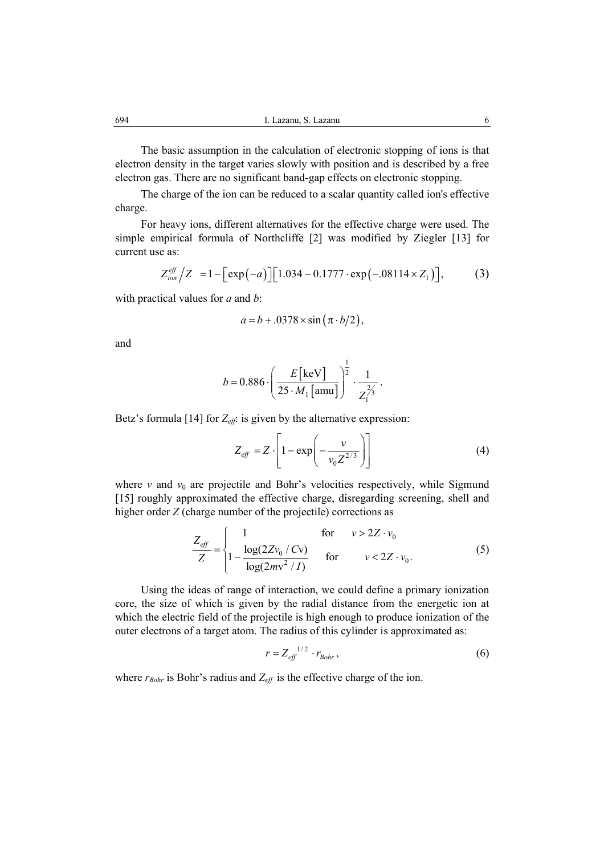The basic assumption in the calculation of electronic stopping of ions is that electron density in the target varies slowly with position and is described by a free electron gas. There are no significant band-gap effects on electronic stopping.

The charge of the ion can be reduced to a scalar quantity called ion's effective charge.

For heavy ions, different alternatives for the effective charge were used. The simple empirical formula of Northcliffe [2] was modified by Ziegler [13] for current use as:

$$
Z_{ion}^{eff}/Z = 1 - \left[ \exp(-a) \right] \left[ 1.034 - 0.1777 \cdot \exp(-.08114 \times Z_1) \right],
$$
 (3)

with practical values for *a* and *b*:

$$
a = b + .0378 \times \sin\left(\pi \cdot b/2\right),
$$

and

$$
b = 0.886 \cdot \left(\frac{E[\text{keV}]}{25 \cdot M_1[\text{amu}]} \right)^{\frac{1}{2}} \cdot \frac{1}{Z_1^{\frac{2}{3}}}.
$$

Betz's formula [14] for  $Z_{\text{eff}}$ : is given by the alternative expression:

$$
Z_{\text{eff}} = Z \cdot \left[ 1 - \exp\left( -\frac{v}{v_0 Z^{2/3}} \right) \right] \tag{4}
$$

where  $v$  and  $v_0$  are projectile and Bohr's velocities respectively, while Sigmund [15] roughly approximated the effective charge, disregarding screening, shell and higher order *Z* (charge number of the projectile) corrections as

$$
\frac{Z_{\text{eff}}}{Z} = \begin{cases}\n1 & \text{for } v > 2Z \cdot v_0 \\
1 - \frac{\log(2Zv_0 / Cv)}{\log(2mv^2 / I)} & \text{for } v < 2Z \cdot v_0.\n\end{cases}
$$
\n(5)

Using the ideas of range of interaction, we could define a primary ionization core, the size of which is given by the radial distance from the energetic ion at which the electric field of the projectile is high enough to produce ionization of the outer electrons of a target atom. The radius of this cylinder is approximated as:

$$
r = Z_{\text{eff}}^{1/2} \cdot r_{\text{Bohr}}\,,\tag{6}
$$

where  $r_{Bohr}$  is Bohr's radius and  $Z_{\text{eff}}$  is the effective charge of the ion.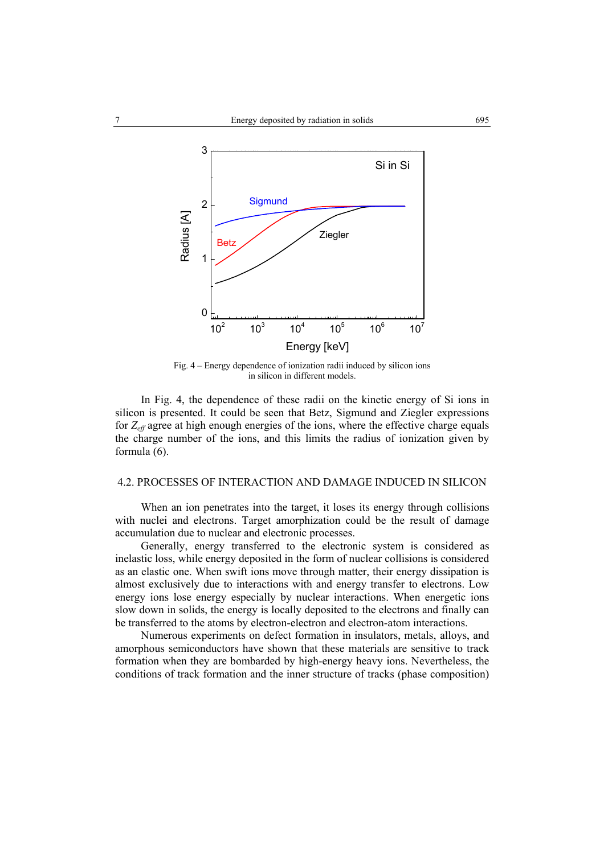

Fig. 4 – Energy dependence of ionization radii induced by silicon ions in silicon in different models.

In Fig. 4, the dependence of these radii on the kinetic energy of Si ions in silicon is presented. It could be seen that Betz, Sigmund and Ziegler expressions for *Zeff* agree at high enough energies of the ions, where the effective charge equals the charge number of the ions, and this limits the radius of ionization given by formula (6).

# 4.2. PROCESSES OF INTERACTION AND DAMAGE INDUCED IN SILICON

When an ion penetrates into the target, it loses its energy through collisions with nuclei and electrons. Target amorphization could be the result of damage accumulation due to nuclear and electronic processes.

Generally, energy transferred to the electronic system is considered as inelastic loss, while energy deposited in the form of nuclear collisions is considered as an elastic one. When swift ions move through matter, their energy dissipation is almost exclusively due to interactions with and energy transfer to electrons. Low energy ions lose energy especially by nuclear interactions. When energetic ions slow down in solids, the energy is locally deposited to the electrons and finally can be transferred to the atoms by electron-electron and electron-atom interactions.

Numerous experiments on defect formation in insulators, metals, alloys, and amorphous semiconductors have shown that these materials are sensitive to track formation when they are bombarded by high-energy heavy ions. Nevertheless, the conditions of track formation and the inner structure of tracks (phase composition)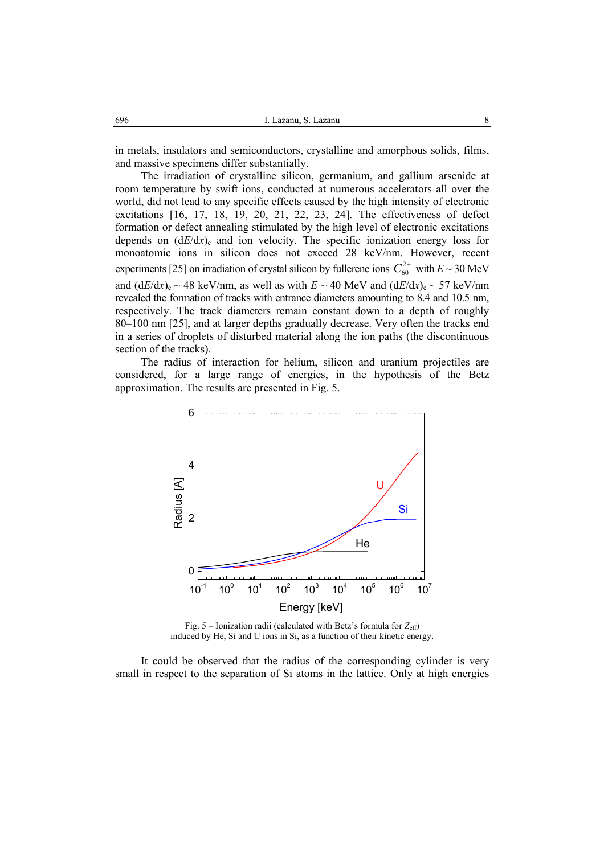in metals, insulators and semiconductors, crystalline and amorphous solids, films, and massive specimens differ substantially.

The irradiation of crystalline silicon, germanium, and gallium arsenide at room temperature by swift ions, conducted at numerous accelerators all over the world, did not lead to any specific effects caused by the high intensity of electronic excitations [16, 17, 18, 19, 20, 21, 22, 23, 24]. The effectiveness of defect formation or defect annealing stimulated by the high level of electronic excitations depends on  $(dE/dx)_{e}$  and ion velocity. The specific ionization energy loss for monoatomic ions in silicon does not exceed 28 keV/nm. However, recent experiments [25] on irradiation of crystal silicon by fullerene ions  $C_{60}^{2+}$  with  $E \sim 30$  MeV and  $(dE/dx)_{e} \sim 48$  keV/nm, as well as with  $E \sim 40$  MeV and  $(dE/dx)_{e} \sim 57$  keV/nm revealed the formation of tracks with entrance diameters amounting to 8.4 and 10.5 nm, respectively. The track diameters remain constant down to a depth of roughly 80–100 nm [25], and at larger depths gradually decrease. Very often the tracks end in a series of droplets of disturbed material along the ion paths (the discontinuous section of the tracks).

The radius of interaction for helium, silicon and uranium projectiles are considered, for a large range of energies, in the hypothesis of the Betz approximation. The results are presented in Fig. 5.



Fig. 5 – Ionization radii (calculated with Betz's formula for  $Z_{\text{eff}}$ ) induced by He, Si and U ions in Si, as a function of their kinetic energy.

It could be observed that the radius of the corresponding cylinder is very small in respect to the separation of Si atoms in the lattice. Only at high energies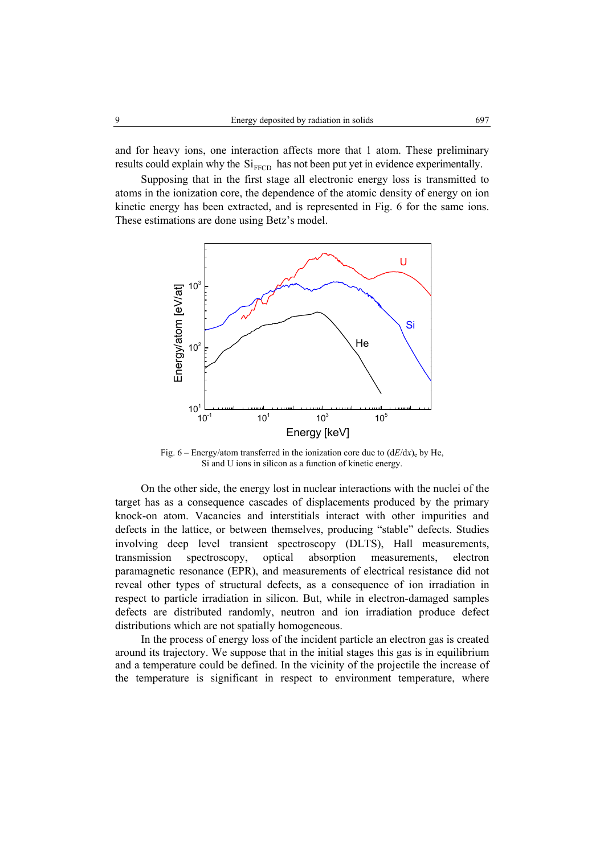and for heavy ions, one interaction affects more that 1 atom. These preliminary results could explain why the  $Si<sub>FFCD</sub>$  has not been put yet in evidence experimentally.

Supposing that in the first stage all electronic energy loss is transmitted to atoms in the ionization core, the dependence of the atomic density of energy on ion kinetic energy has been extracted, and is represented in Fig. 6 for the same ions. These estimations are done using Betz's model.



Fig.  $6 -$  Energy/atom transferred in the ionization core due to  $(dE/dx)$  by He, Si and U ions in silicon as a function of kinetic energy.

On the other side, the energy lost in nuclear interactions with the nuclei of the target has as a consequence cascades of displacements produced by the primary knock-on atom. Vacancies and interstitials interact with other impurities and defects in the lattice, or between themselves, producing "stable" defects. Studies involving deep level transient spectroscopy (DLTS), Hall measurements, transmission spectroscopy, optical absorption measurements, electron paramagnetic resonance (EPR), and measurements of electrical resistance did not reveal other types of structural defects, as a consequence of ion irradiation in respect to particle irradiation in silicon. But, while in electron-damaged samples defects are distributed randomly, neutron and ion irradiation produce defect distributions which are not spatially homogeneous.

In the process of energy loss of the incident particle an electron gas is created around its trajectory. We suppose that in the initial stages this gas is in equilibrium and a temperature could be defined. In the vicinity of the projectile the increase of the temperature is significant in respect to environment temperature, where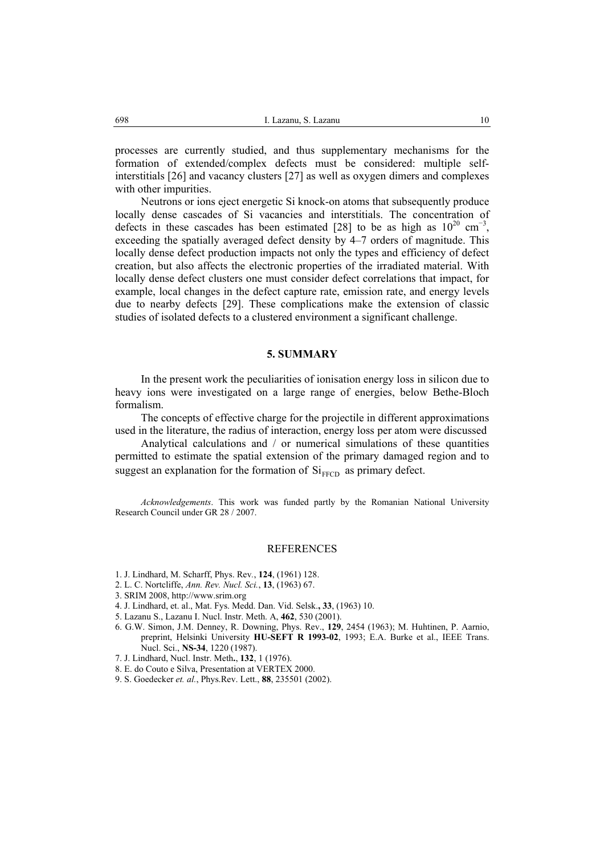processes are currently studied, and thus supplementary mechanisms for the formation of extended/complex defects must be considered: multiple selfinterstitials [26] and vacancy clusters [27] as well as oxygen dimers and complexes with other impurities.

Neutrons or ions eject energetic Si knock-on atoms that subsequently produce locally dense cascades of Si vacancies and interstitials. The concentration of defects in these cascades has been estimated [28] to be as high as  $10^{20}$  cm<sup>-3</sup>, exceeding the spatially averaged defect density by 4–7 orders of magnitude. This locally dense defect production impacts not only the types and efficiency of defect creation, but also affects the electronic properties of the irradiated material. With locally dense defect clusters one must consider defect correlations that impact, for example, local changes in the defect capture rate, emission rate, and energy levels due to nearby defects [29]. These complications make the extension of classic studies of isolated defects to a clustered environment a significant challenge.

#### **5. SUMMARY**

In the present work the peculiarities of ionisation energy loss in silicon due to heavy ions were investigated on a large range of energies, below Bethe-Bloch formalism.

The concepts of effective charge for the projectile in different approximations used in the literature, the radius of interaction, energy loss per atom were discussed

Analytical calculations and / or numerical simulations of these quantities permitted to estimate the spatial extension of the primary damaged region and to suggest an explanation for the formation of  $Si$ <sub>FFCD</sub> as primary defect.

*Acknowledgements*. This work was funded partly by the Romanian National University Research Council under GR 28 / 2007.

#### REFERENCES

- 1. J. Lindhard, M. Scharff, Phys. Rev*.*, **124**, (1961) 128.
- 2. L. C. Nortcliffe, *Ann. Rev. Nucl. Sci.*, **13**, (1963) 67.
- 3. SRIM 2008, http://www.srim.org
- 4. J. Lindhard, et. al., Mat. Fys. Medd. Dan. Vid. Selsk.**, 33**, (1963) 10.
- 5. Lazanu S., Lazanu I. Nucl. Instr. Meth. A, **462**, 530 (2001).
- 6. G.W. Simon, J.M. Denney, R. Downing, Phys. Rev., **129**, 2454 (1963); M. Huhtinen, P. Aarnio, preprint, Helsinki University **HU-SEFT R 1993-02**, 1993; E.A. Burke et al., IEEE Trans. Nucl. Sci., **NS-34**, 1220 (1987).
- 7. J. Lindhard, Nucl. Instr. Meth**.**, **132**, 1 (1976).
- 8. E. do Couto e Silva, Presentation at VERTEX 2000.
- 9. S. Goedecker *et. al.*, Phys.Rev. Lett., **88**, 235501 (2002).